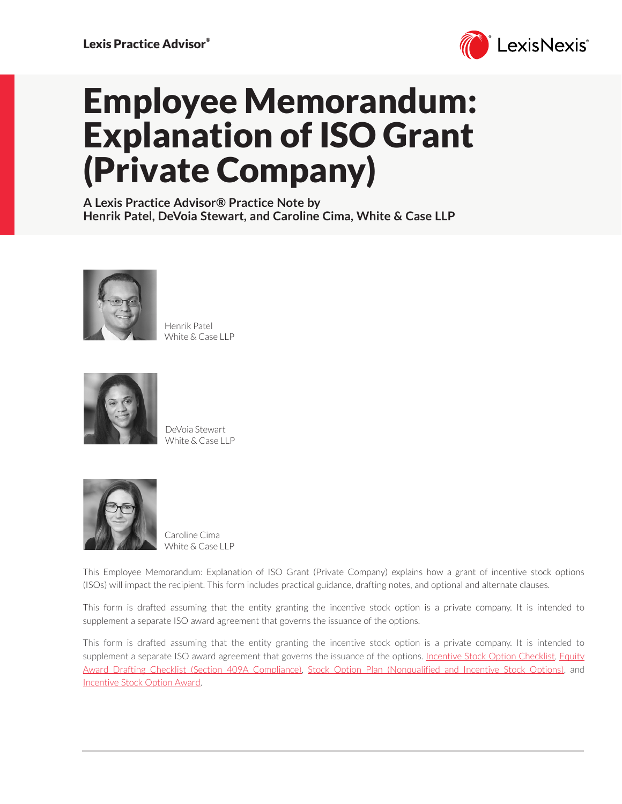

# Employee Memorandum: Explanation of ISO Grant (Private Company)

**A Lexis Practice Advisor® Practice Note by Henrik Patel, DeVoia Stewart, and Caroline Cima, White & Case LLP**



Henrik Patel White & Case LLP



DeVoia Stewart White & Case LLP



Caroline Cima White & Case LLP

This Employee Memorandum: Explanation of ISO Grant (Private Company) explains how a grant of incentive stock options (ISOs) will impact the recipient. This form includes practical guidance, drafting notes, and optional and alternate clauses.

This form is drafted assuming that the entity granting the incentive stock option is a private company. It is intended to supplement a separate ISO award agreement that governs the issuance of the options.

This form is drafted assuming that the entity granting the incentive stock option is a private company. It is intended to supplement a separate ISO award agreement that governs the issuance of the options. [Incentive Stock Option Checklist](https://advance.lexis.com/open/document/lpadocument/?pdmfid=1000522pddocfullpath=%2Fshared%2Fdocument%2Fforms%2Furn%3AcontentItem%3A5PG0-3421-JNCK-22VJ-00000-00&pdcontentcomponentid=231525&pdteaserkey=sr0&pditab=allpods&ecomp=1trg&earg=sr0&prid=124d006c-39a3-45aa-bb07-c110879b1165), [Equity](https://advance.lexis.com/open/document/lpadocument/?pdmfid=1000522pddocfullpath=%2Fshared%2Fdocument%2Fforms%2Furn%3AcontentItem%3A5PG0-3421-JNCK-22VP-00000-00&pdcontentcomponentid=231525&pdteaserkey=sr0&pditab=allpods&ecomp=1trg&earg=sr0&prid=df346d03-2177-46b7-a47d-2c5c4c34fa56)  [Award Drafting Checklist \(Section 409A Compliance\)](https://advance.lexis.com/open/document/lpadocument/?pdmfid=1000522pddocfullpath=%2Fshared%2Fdocument%2Fforms%2Furn%3AcontentItem%3A5PG0-3421-JNCK-22VP-00000-00&pdcontentcomponentid=231525&pdteaserkey=sr0&pditab=allpods&ecomp=1trg&earg=sr0&prid=df346d03-2177-46b7-a47d-2c5c4c34fa56), [Stock Option Plan \(Nonqualified and Incentive Stock Options\)](https://advance.lexis.com/open/document/lpadocument/?pdmfid=1000522pddocfullpath=%2Fshared%2Fdocument%2Fforms%2Furn%3AcontentItem%3A5VG5-WD11-FGCG-S4BY-00000-00&pdcontentcomponentid=231526&pdteaserkey=sr0&pditab=allpods&ecomp=1trg&earg=sr0&prid=c770bdec-f9a9-4d03-a183-82fabbe7d74c), and [Incentive Stock Option Award](https://advance.lexis.com/open/document/lpadocument/?pdmfid=1000522pddocfullpath=%2Fshared%2Fdocument%2Fforms%2Furn%3AcontentItem%3A5S07-6JD1-FD4T-B2FB-00000-00&pdcontentcomponentid=231526&pdteaserkey=sr1&pditab=allpods&ecomp=1trg&earg=sr1&prid=e91131a0-4c91-465d-92a3-47698664507a).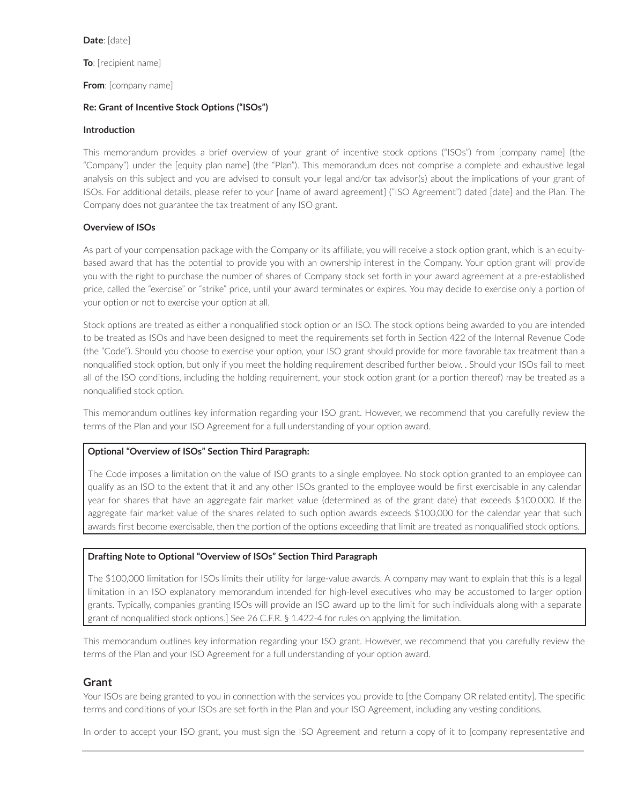#### **Date**: [date]

**To**: [recipient name]

**From**: [company name]

#### **Re: Grant of Incentive Stock Options ("ISOs")**

#### **Introduction**

This memorandum provides a brief overview of your grant of incentive stock options ("ISOs") from [company name] (the "Company") under the [equity plan name] (the "Plan"). This memorandum does not comprise a complete and exhaustive legal analysis on this subject and you are advised to consult your legal and/or tax advisor(s) about the implications of your grant of ISOs. For additional details, please refer to your [name of award agreement] ("ISO Agreement") dated [date] and the Plan. The Company does not guarantee the tax treatment of any ISO grant.

## **Overview of ISOs**

As part of your compensation package with the Company or its affiliate, you will receive a stock option grant, which is an equitybased award that has the potential to provide you with an ownership interest in the Company. Your option grant will provide you with the right to purchase the number of shares of Company stock set forth in your award agreement at a pre-established price, called the "exercise" or "strike" price, until your award terminates or expires. You may decide to exercise only a portion of your option or not to exercise your option at all.

Stock options are treated as either a nonqualified stock option or an ISO. The stock options being awarded to you are intended to be treated as ISOs and have been designed to meet the requirements set forth in Section 422 of the Internal Revenue Code (the "Code"). Should you choose to exercise your option, your ISO grant should provide for more favorable tax treatment than a nonqualified stock option, but only if you meet the holding requirement described further below. . Should your ISOs fail to meet all of the ISO conditions, including the holding requirement, your stock option grant (or a portion thereof) may be treated as a nonqualified stock option.

This memorandum outlines key information regarding your ISO grant. However, we recommend that you carefully review the terms of the Plan and your ISO Agreement for a full understanding of your option award.

#### **Optional "Overview of ISOs" Section Third Paragraph:**

The Code imposes a limitation on the value of ISO grants to a single employee. No stock option granted to an employee can qualify as an ISO to the extent that it and any other ISOs granted to the employee would be first exercisable in any calendar year for shares that have an aggregate fair market value (determined as of the grant date) that exceeds \$100,000. If the aggregate fair market value of the shares related to such option awards exceeds \$100,000 for the calendar year that such awards first become exercisable, then the portion of the options exceeding that limit are treated as nonqualified stock options.

#### **Drafting Note to Optional "Overview of ISOs" Section Third Paragraph**

The \$100,000 limitation for ISOs limits their utility for large-value awards. A company may want to explain that this is a legal limitation in an ISO explanatory memorandum intended for high-level executives who may be accustomed to larger option grants. Typically, companies granting ISOs will provide an ISO award up to the limit for such individuals along with a separate grant of nonqualified stock options.] See 26 C.F.R. § 1.422-4 for rules on applying the limitation.

This memorandum outlines key information regarding your ISO grant. However, we recommend that you carefully review the terms of the Plan and your ISO Agreement for a full understanding of your option award.

## **Grant**

Your ISOs are being granted to you in connection with the services you provide to [the Company OR related entity]. The specific terms and conditions of your ISOs are set forth in the Plan and your ISO Agreement, including any vesting conditions.

In order to accept your ISO grant, you must sign the ISO Agreement and return a copy of it to [company representative and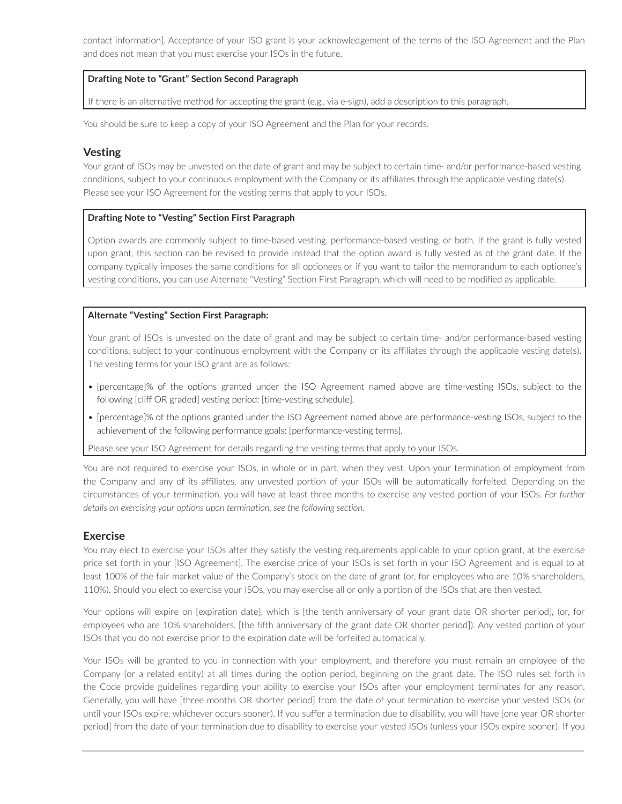contact information]. Acceptance of your ISO grant is your acknowledgement of the terms of the ISO Agreement and the Plan and does not mean that you must exercise your ISOs in the future.

#### **Drafting Note to "Grant" Section Second Paragraph**

If there is an alternative method for accepting the grant (e.g., via e-sign), add a description to this paragraph.

You should be sure to keep a copy of your ISO Agreement and the Plan for your records.

## **Vesting**

Your grant of ISOs may be unvested on the date of grant and may be subject to certain time- and/or performance-based vesting conditions, subject to your continuous employment with the Company or its affiliates through the applicable vesting date(s). Please see your ISO Agreement for the vesting terms that apply to your ISOs.

#### **Drafting Note to "Vesting" Section First Paragraph**

Option awards are commonly subject to time-based vesting, performance-based vesting, or both. If the grant is fully vested upon grant, this section can be revised to provide instead that the option award is fully vested as of the grant date. If the company typically imposes the same conditions for all optionees or if you want to tailor the memorandum to each optionee's vesting conditions, you can use Alternate "Vesting" Section First Paragraph, which will need to be modified as applicable.

#### **Alternate "Vesting" Section First Paragraph:**

Your grant of ISOs is unvested on the date of grant and may be subject to certain time- and/or performance-based vesting conditions, subject to your continuous employment with the Company or its affiliates through the applicable vesting date(s). The vesting terms for your ISO grant are as follows:

- [percentage]% of the options granted under the ISO Agreement named above are time-vesting ISOs, subject to the following [cliff OR graded] vesting period: [time-vesting schedule].
- [percentage]% of the options granted under the ISO Agreement named above are performance-vesting ISOs, subject to the achievement of the following performance goals: [performance-vesting terms].

Please see your ISO Agreement for details regarding the vesting terms that apply to your ISOs.

You are not required to exercise your ISOs, in whole or in part, when they vest. Upon your termination of employment from the Company and any of its affiliates, any unvested portion of your ISOs will be automatically forfeited. Depending on the circumstances of your termination, you will have at least three months to exercise any vested portion of your ISOs. *For further details on exercising your options upon termination, see the following section.*

#### **Exercise**

You may elect to exercise your ISOs after they satisfy the vesting requirements applicable to your option grant, at the exercise price set forth in your [ISO Agreement]. The exercise price of your ISOs is set forth in your ISO Agreement and is equal to at least 100% of the fair market value of the Company's stock on the date of grant (or, for employees who are 10% shareholders, 110%). Should you elect to exercise your ISOs, you may exercise all or only a portion of the ISOs that are then vested.

Your options will expire on [expiration date], which is [the tenth anniversary of your grant date OR shorter period], (or, for employees who are 10% shareholders, [the fifth anniversary of the grant date OR shorter period]). Any vested portion of your ISOs that you do not exercise prior to the expiration date will be forfeited automatically.

Your ISOs will be granted to you in connection with your employment, and therefore you must remain an employee of the Company (or a related entity) at all times during the option period, beginning on the grant date. The ISO rules set forth in the Code provide guidelines regarding your ability to exercise your ISOs after your employment terminates for any reason. Generally, you will have [three months OR shorter period] from the date of your termination to exercise your vested ISOs (or until your ISOs expire, whichever occurs sooner). If you suffer a termination due to disability, you will have [one year OR shorter period] from the date of your termination due to disability to exercise your vested ISOs (unless your ISOs expire sooner). If you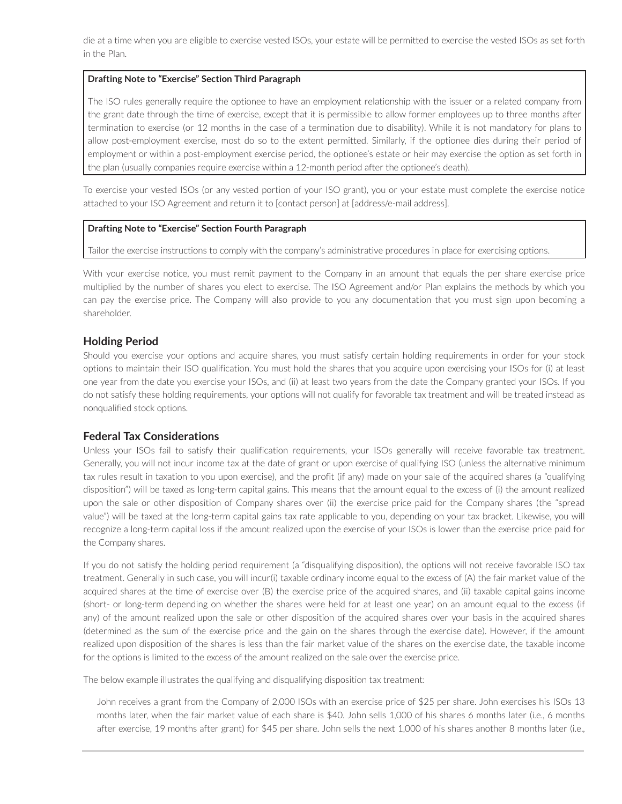die at a time when you are eligible to exercise vested ISOs, your estate will be permitted to exercise the vested ISOs as set forth in the Plan.

#### **Drafting Note to "Exercise" Section Third Paragraph**

The ISO rules generally require the optionee to have an employment relationship with the issuer or a related company from the grant date through the time of exercise, except that it is permissible to allow former employees up to three months after termination to exercise (or 12 months in the case of a termination due to disability). While it is not mandatory for plans to allow post-employment exercise, most do so to the extent permitted. Similarly, if the optionee dies during their period of employment or within a post-employment exercise period, the optionee's estate or heir may exercise the option as set forth in the plan (usually companies require exercise within a 12-month period after the optionee's death).

To exercise your vested ISOs (or any vested portion of your ISO grant), you or your estate must complete the exercise notice attached to your ISO Agreement and return it to [contact person] at [address/e-mail address].

#### **Drafting Note to "Exercise" Section Fourth Paragraph**

Tailor the exercise instructions to comply with the company's administrative procedures in place for exercising options.

With your exercise notice, you must remit payment to the Company in an amount that equals the per share exercise price multiplied by the number of shares you elect to exercise. The ISO Agreement and/or Plan explains the methods by which you can pay the exercise price. The Company will also provide to you any documentation that you must sign upon becoming a shareholder.

## **Holding Period**

Should you exercise your options and acquire shares, you must satisfy certain holding requirements in order for your stock options to maintain their ISO qualification. You must hold the shares that you acquire upon exercising your ISOs for (i) at least one year from the date you exercise your ISOs, and (ii) at least two years from the date the Company granted your ISOs. If you do not satisfy these holding requirements, your options will not qualify for favorable tax treatment and will be treated instead as nonqualified stock options.

#### **Federal Tax Considerations**

Unless your ISOs fail to satisfy their qualification requirements, your ISOs generally will receive favorable tax treatment. Generally, you will not incur income tax at the date of grant or upon exercise of qualifying ISO (unless the alternative minimum tax rules result in taxation to you upon exercise), and the profit (if any) made on your sale of the acquired shares (a "qualifying disposition") will be taxed as long-term capital gains. This means that the amount equal to the excess of (i) the amount realized upon the sale or other disposition of Company shares over (ii) the exercise price paid for the Company shares (the "spread value") will be taxed at the long-term capital gains tax rate applicable to you, depending on your tax bracket. Likewise, you will recognize a long-term capital loss if the amount realized upon the exercise of your ISOs is lower than the exercise price paid for the Company shares.

If you do not satisfy the holding period requirement (a "disqualifying disposition), the options will not receive favorable ISO tax treatment. Generally in such case, you will incur(i) taxable ordinary income equal to the excess of (A) the fair market value of the acquired shares at the time of exercise over (B) the exercise price of the acquired shares, and (ii) taxable capital gains income (short- or long-term depending on whether the shares were held for at least one year) on an amount equal to the excess (if any) of the amount realized upon the sale or other disposition of the acquired shares over your basis in the acquired shares (determined as the sum of the exercise price and the gain on the shares through the exercise date). However, if the amount realized upon disposition of the shares is less than the fair market value of the shares on the exercise date, the taxable income for the options is limited to the excess of the amount realized on the sale over the exercise price.

The below example illustrates the qualifying and disqualifying disposition tax treatment:

John receives a grant from the Company of 2,000 ISOs with an exercise price of \$25 per share. John exercises his ISOs 13 months later, when the fair market value of each share is \$40. John sells 1,000 of his shares 6 months later (i.e., 6 months after exercise, 19 months after grant) for \$45 per share. John sells the next 1,000 of his shares another 8 months later (i.e.,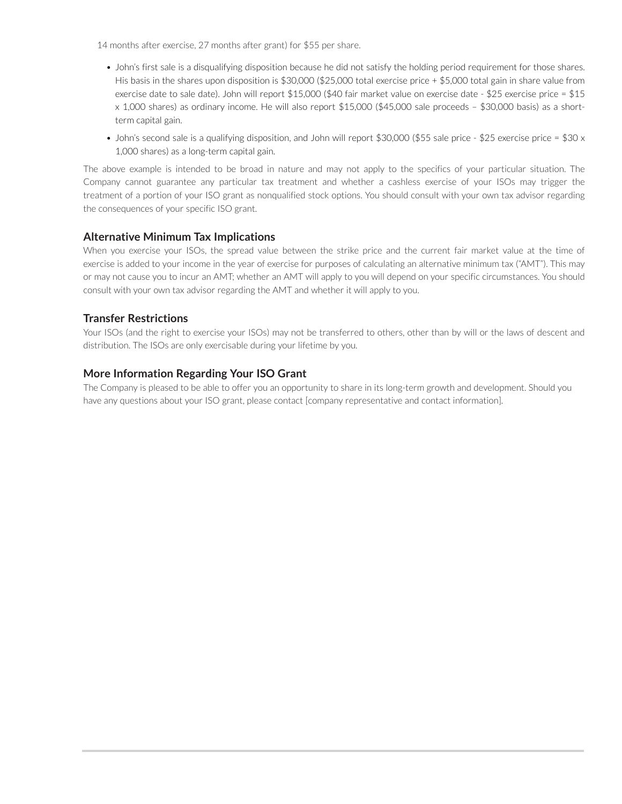14 months after exercise, 27 months after grant) for \$55 per share.

- John's first sale is a disqualifying disposition because he did not satisfy the holding period requirement for those shares. His basis in the shares upon disposition is \$30,000 (\$25,000 total exercise price + \$5,000 total gain in share value from exercise date to sale date). John will report \$15,000 (\$40 fair market value on exercise date - \$25 exercise price = \$15 x 1,000 shares) as ordinary income. He will also report \$15,000 (\$45,000 sale proceeds – \$30,000 basis) as a shortterm capital gain.
- John's second sale is a qualifying disposition, and John will report \$30,000 (\$55 sale price \$25 exercise price = \$30 x 1,000 shares) as a long-term capital gain.

The above example is intended to be broad in nature and may not apply to the specifics of your particular situation. The Company cannot guarantee any particular tax treatment and whether a cashless exercise of your ISOs may trigger the treatment of a portion of your ISO grant as nonqualified stock options. You should consult with your own tax advisor regarding the consequences of your specific ISO grant.

# **Alternative Minimum Tax Implications**

When you exercise your ISOs, the spread value between the strike price and the current fair market value at the time of exercise is added to your income in the year of exercise for purposes of calculating an alternative minimum tax ("AMT"). This may or may not cause you to incur an AMT; whether an AMT will apply to you will depend on your specific circumstances. You should consult with your own tax advisor regarding the AMT and whether it will apply to you.

# **Transfer Restrictions**

Your ISOs (and the right to exercise your ISOs) may not be transferred to others, other than by will or the laws of descent and distribution. The ISOs are only exercisable during your lifetime by you.

# **More Information Regarding Your ISO Grant**

The Company is pleased to be able to offer you an opportunity to share in its long-term growth and development. Should you have any questions about your ISO grant, please contact [company representative and contact information].